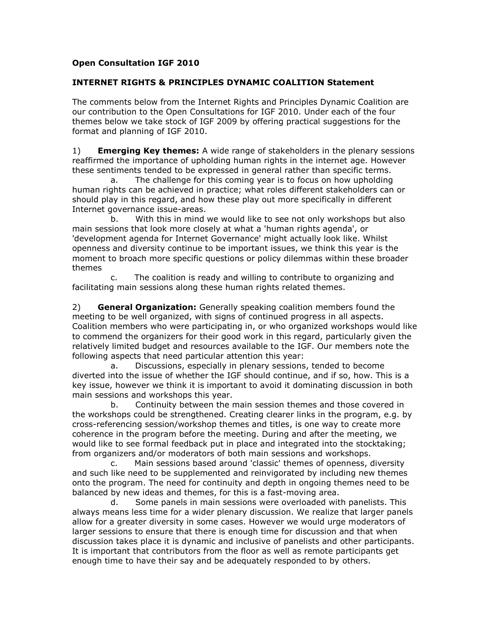## **Open Consultation IGF 2010**

## **INTERNET RIGHTS & PRINCIPLES DYNAMIC COALITION Statement**

The comments below from the Internet Rights and Principles Dynamic Coalition are our contribution to the Open Consultations for IGF 2010. Under each of the four themes below we take stock of IGF 2009 by offering practical suggestions for the format and planning of IGF 2010.

1) **Emerging Key themes:** A wide range of stakeholders in the plenary sessions reaffirmed the importance of upholding human rights in the internet age. However these sentiments tended to be expressed in general rather than specific terms.

a. The challenge for this coming year is to focus on how upholding human rights can be achieved in practice; what roles different stakeholders can or should play in this regard, and how these play out more specifically in different Internet governance issue-areas.

b. With this in mind we would like to see not only workshops but also main sessions that look more closely at what a 'human rights agenda', or 'development agenda for Internet Governance' might actually look like. Whilst openness and diversity continue to be important issues, we think this year is the moment to broach more specific questions or policy dilemmas within these broader themes

c. The coalition is ready and willing to contribute to organizing and facilitating main sessions along these human rights related themes.

2) **General Organization:** Generally speaking coalition members found the meeting to be well organized, with signs of continued progress in all aspects. Coalition members who were participating in, or who organized workshops would like to commend the organizers for their good work in this regard, particularly given the relatively limited budget and resources available to the IGF. Our members note the following aspects that need particular attention this year:

a. Discussions, especially in plenary sessions, tended to become diverted into the issue of whether the IGF should continue, and if so, how. This is a key issue, however we think it is important to avoid it dominating discussion in both main sessions and workshops this year.

b. Continuity between the main session themes and those covered in the workshops could be strengthened. Creating clearer links in the program, e.g. by cross-referencing session/workshop themes and titles, is one way to create more coherence in the program before the meeting. During and after the meeting, we would like to see formal feedback put in place and integrated into the stocktaking; from organizers and/or moderators of both main sessions and workshops.

c. Main sessions based around 'classic' themes of openness, diversity and such like need to be supplemented and reinvigorated by including new themes onto the program. The need for continuity and depth in ongoing themes need to be balanced by new ideas and themes, for this is a fast-moving area.

d. Some panels in main sessions were overloaded with panelists. This always means less time for a wider plenary discussion. We realize that larger panels allow for a greater diversity in some cases. However we would urge moderators of larger sessions to ensure that there is enough time for discussion and that when discussion takes place it is dynamic and inclusive of panelists and other participants. It is important that contributors from the floor as well as remote participants get enough time to have their say and be adequately responded to by others.